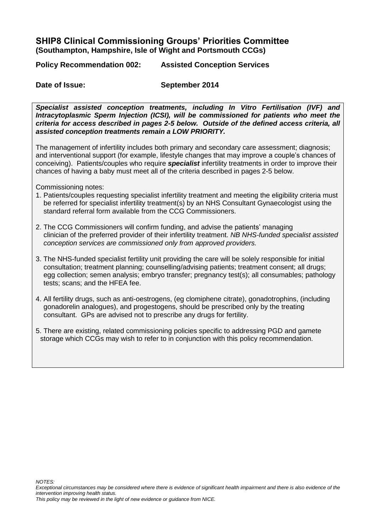## **SHIP8 Clinical Commissioning Groups' Priorities Committee (Southampton, Hampshire, Isle of Wight and Portsmouth CCGs)**

**Policy Recommendation 002: Assisted Conception Services**

**Date of Issue: September 2014** 

*Specialist assisted conception treatments, including In Vitro Fertilisation (IVF) and Intracytoplasmic Sperm Injection (ICSI), will be commissioned for patients who meet the criteria for access described in pages 2-5 below. Outside of the defined access criteria, all assisted conception treatments remain a LOW PRIORITY.* 

The management of infertility includes both primary and secondary care assessment; diagnosis; and interventional support (for example, lifestyle changes that may improve a couple's chances of conceiving). Patients/couples who require *specialist* infertility treatments in order to improve their chances of having a baby must meet all of the criteria described in pages 2-5 below.

Commissioning notes:

- 1. Patients/couples requesting specialist infertility treatment and meeting the eligibility criteria must be referred for specialist infertility treatment(s) by an NHS Consultant Gynaecologist using the standard referral form available from the CCG Commissioners.
- 2. The CCG Commissioners will confirm funding, and advise the patients' managing clinician of the preferred provider of their infertility treatment. *NB NHS-funded specialist assisted conception services are commissioned only from approved providers.*
- 3. The NHS-funded specialist fertility unit providing the care will be solely responsible for initial consultation; treatment planning; counselling/advising patients; treatment consent; all drugs; egg collection; semen analysis; embryo transfer; pregnancy test(s); all consumables; pathology tests; scans; and the HFEA fee.
- 4. All fertility drugs, such as anti-oestrogens, (eg clomiphene citrate), gonadotrophins, (including gonadorelin analogues), and progestogens, should be prescribed only by the treating consultant. GPs are advised not to prescribe any drugs for fertility.
- 5. There are existing, related commissioning policies specific to addressing PGD and gamete storage which CCGs may wish to refer to in conjunction with this policy recommendation.

*This policy may be reviewed in the light of new evidence or guidance from NICE.* 

*Exceptional circumstances may be considered where there is evidence of significant health impairment and there is also evidence of the intervention improving health status.*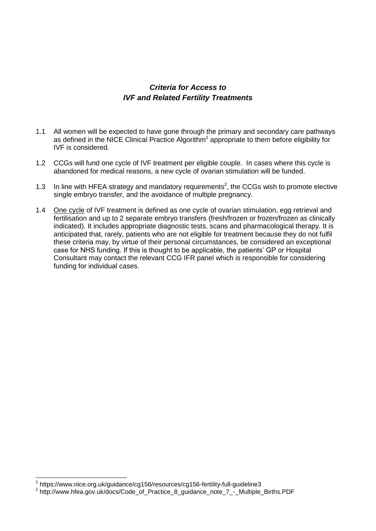## *Criteria for Access to IVF and Related Fertility Treatments*

- 1.1 All women will be expected to have gone through the primary and secondary care pathways as defined in the NICE Clinical Practice Algorithm<sup>1</sup> appropriate to them before eligibility for IVF is considered.
- 1.2 CCGs will fund one cycle of IVF treatment per eligible couple. In cases where this cycle is abandoned for medical reasons, a new cycle of ovarian stimulation will be funded.
- 1.3 In line with HFEA strategy and mandatory requirements<sup>2</sup>, the CCGs wish to promote elective single embryo transfer, and the avoidance of multiple pregnancy.
- 1.4 One cycle of IVF treatment is defined as one cycle of ovarian stimulation, egg retrieval and fertilisation and up to 2 separate embryo transfers (fresh/frozen or frozen/frozen as clinically indicated). It includes appropriate diagnostic tests, scans and pharmacological therapy. It is anticipated that, rarely, patients who are not eligible for treatment because they do not fulfil these criteria may, by virtue of their personal circumstances, be considered an exceptional case for NHS funding. If this is thought to be applicable, the patients' GP or Hospital Consultant may contact the relevant CCG IFR panel which is responsible for considering funding for individual cases.

 1 https://www.nice.org.uk/guidance/cg156/resources/cg156-fertility-full-guideline3

<sup>2</sup> http://www.hfea.gov.uk/docs/Code\_of\_Practice\_8\_guidance\_note\_7\_-\_Multiple\_Births.PDF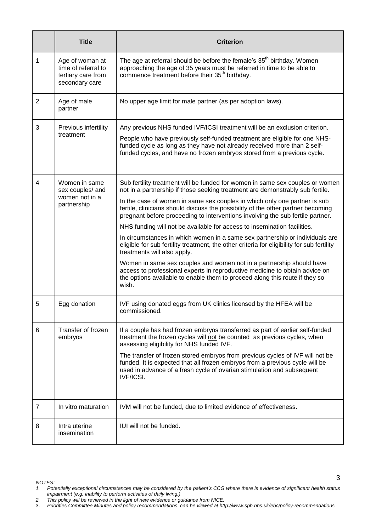|                | <b>Title</b>                                                                   | <b>Criterion</b>                                                                                                                                                                                                                                                                                                                                                                                                                                                                                                                                                                                                                                                                                                                                                                                                                                                                                                                                          |
|----------------|--------------------------------------------------------------------------------|-----------------------------------------------------------------------------------------------------------------------------------------------------------------------------------------------------------------------------------------------------------------------------------------------------------------------------------------------------------------------------------------------------------------------------------------------------------------------------------------------------------------------------------------------------------------------------------------------------------------------------------------------------------------------------------------------------------------------------------------------------------------------------------------------------------------------------------------------------------------------------------------------------------------------------------------------------------|
| 1              | Age of woman at<br>time of referral to<br>tertiary care from<br>secondary care | The age at referral should be before the female's 35 <sup>th</sup> birthday. Women<br>approaching the age of 35 years must be referred in time to be able to<br>commence treatment before their 35 <sup>th</sup> birthday.                                                                                                                                                                                                                                                                                                                                                                                                                                                                                                                                                                                                                                                                                                                                |
| $\overline{2}$ | Age of male<br>partner                                                         | No upper age limit for male partner (as per adoption laws).                                                                                                                                                                                                                                                                                                                                                                                                                                                                                                                                                                                                                                                                                                                                                                                                                                                                                               |
| 3              | Previous infertility<br>treatment                                              | Any previous NHS funded IVF/ICSI treatment will be an exclusion criterion.<br>People who have previously self-funded treatment are eligible for one NHS-<br>funded cycle as long as they have not already received more than 2 self-<br>funded cycles, and have no frozen embryos stored from a previous cycle.                                                                                                                                                                                                                                                                                                                                                                                                                                                                                                                                                                                                                                           |
| 4              | Women in same<br>sex couples/ and<br>women not in a<br>partnership             | Sub fertility treatment will be funded for women in same sex couples or women<br>not in a partnership if those seeking treatment are demonstrably sub fertile.<br>In the case of women in same sex couples in which only one partner is sub<br>fertile, clinicians should discuss the possibility of the other partner becoming<br>pregnant before proceeding to interventions involving the sub fertile partner.<br>NHS funding will not be available for access to insemination facilities.<br>In circumstances in which women in a same sex partnership or individuals are<br>eligible for sub fertility treatment, the other criteria for eligibility for sub fertility<br>treatments will also apply.<br>Women in same sex couples and women not in a partnership should have<br>access to professional experts in reproductive medicine to obtain advice on<br>the options available to enable them to proceed along this route if they so<br>wish. |
| 5              | Egg donation                                                                   | IVF using donated eggs from UK clinics licensed by the HFEA will be<br>commissioned.                                                                                                                                                                                                                                                                                                                                                                                                                                                                                                                                                                                                                                                                                                                                                                                                                                                                      |
| 6              | Transfer of frozen<br>embryos                                                  | If a couple has had frozen embryos transferred as part of earlier self-funded<br>treatment the frozen cycles will not be counted as previous cycles, when<br>assessing eligibility for NHS funded IVF.<br>The transfer of frozen stored embryos from previous cycles of IVF will not be<br>funded. It is expected that all frozen embryos from a previous cycle will be<br>used in advance of a fresh cycle of ovarian stimulation and subsequent<br><b>IVF/ICSI.</b>                                                                                                                                                                                                                                                                                                                                                                                                                                                                                     |
| 7              | In vitro maturation                                                            | IVM will not be funded, due to limited evidence of effectiveness.                                                                                                                                                                                                                                                                                                                                                                                                                                                                                                                                                                                                                                                                                                                                                                                                                                                                                         |
| 8              | Intra uterine<br>insemination                                                  | IUI will not be funded.                                                                                                                                                                                                                                                                                                                                                                                                                                                                                                                                                                                                                                                                                                                                                                                                                                                                                                                                   |

*NOTES:*

*<sup>1.</sup> Potentially exceptional circumstances may be considered by the patient's CCG where there is evidence of significant health status impairment (e.g. inability to perform activities of daily living.)*

*<sup>2.</sup> This policy will be reviewed in the light of new evidence or guidance from NICE.*

<sup>3.</sup> *Priorities Committee Minutes and policy recommendations can be viewed at http://www.sph.nhs.uk/ebc/policy-recommendations*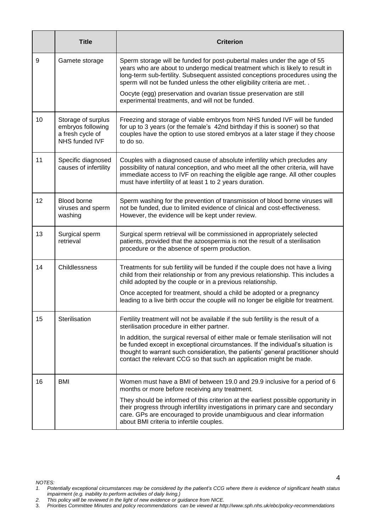|    | <b>Title</b>                                                                  | <b>Criterion</b>                                                                                                                                                                                                                                                                                                                 |
|----|-------------------------------------------------------------------------------|----------------------------------------------------------------------------------------------------------------------------------------------------------------------------------------------------------------------------------------------------------------------------------------------------------------------------------|
| 9  | Gamete storage                                                                | Sperm storage will be funded for post-pubertal males under the age of 55<br>years who are about to undergo medical treatment which is likely to result in<br>long-term sub-fertility. Subsequent assisted conceptions procedures using the<br>sperm will not be funded unless the other eligibility criteria are met. .          |
|    |                                                                               | Oocyte (egg) preservation and ovarian tissue preservation are still<br>experimental treatments, and will not be funded.                                                                                                                                                                                                          |
| 10 | Storage of surplus<br>embryos following<br>a fresh cycle of<br>NHS funded IVF | Freezing and storage of viable embryos from NHS funded IVF will be funded<br>for up to 3 years (or the female's 42nd birthday if this is sooner) so that<br>couples have the option to use stored embryos at a later stage if they choose<br>to do so.                                                                           |
| 11 | Specific diagnosed<br>causes of infertility                                   | Couples with a diagnosed cause of absolute infertility which precludes any<br>possibility of natural conception, and who meet all the other criteria, will have<br>immediate access to IVF on reaching the eligible age range. All other couples<br>must have infertility of at least 1 to 2 years duration.                     |
| 12 | Blood borne<br>viruses and sperm<br>washing                                   | Sperm washing for the prevention of transmission of blood borne viruses will<br>not be funded, due to limited evidence of clinical and cost-effectiveness.<br>However, the evidence will be kept under review.                                                                                                                   |
| 13 | Surgical sperm<br>retrieval                                                   | Surgical sperm retrieval will be commissioned in appropriately selected<br>patients, provided that the azoospermia is not the result of a sterilisation<br>procedure or the absence of sperm production.                                                                                                                         |
| 14 | Childlessness                                                                 | Treatments for sub fertility will be funded if the couple does not have a living<br>child from their relationship or from any previous relationship. This includes a<br>child adopted by the couple or in a previous relationship.                                                                                               |
|    |                                                                               | Once accepted for treatment, should a child be adopted or a pregnancy<br>leading to a live birth occur the couple will no longer be eligible for treatment.                                                                                                                                                                      |
| 15 | Sterilisation                                                                 | Fertility treatment will not be available if the sub fertility is the result of a<br>sterilisation procedure in either partner.                                                                                                                                                                                                  |
|    |                                                                               | In addition, the surgical reversal of either male or female sterilisation will not<br>be funded except in exceptional circumstances. If the individual's situation is<br>thought to warrant such consideration, the patients' general practitioner should<br>contact the relevant CCG so that such an application might be made. |
| 16 | BMI                                                                           | Women must have a BMI of between 19.0 and 29.9 inclusive for a period of 6<br>months or more before receiving any treatment.                                                                                                                                                                                                     |
|    |                                                                               | They should be informed of this criterion at the earliest possible opportunity in<br>their progress through infertility investigations in primary care and secondary<br>care. GPs are encouraged to provide unambiguous and clear information<br>about BMI criteria to infertile couples.                                        |

*NOTES:*

*2. This policy will be reviewed in the light of new evidence or guidance from NICE.*

*<sup>1.</sup> Potentially exceptional circumstances may be considered by the patient's CCG where there is evidence of significant health status impairment (e.g. inability to perform activities of daily living.)*

<sup>3.</sup> *Priorities Committee Minutes and policy recommendations can be viewed at http://www.sph.nhs.uk/ebc/policy-recommendations*